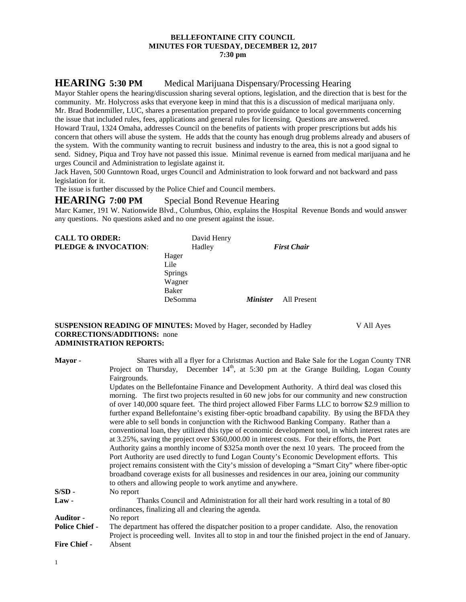### **BELLEFONTAINE CITY COUNCIL MINUTES FOR TUESDAY, DECEMBER 12, 2017 7:30 pm**

# **HEARING 5:30 PM** Medical Marijuana Dispensary/Processing Hearing

Mayor Stahler opens the hearing/discussion sharing several options, legislation, and the direction that is best for the community. Mr. Holycross asks that everyone keep in mind that this is a discussion of medical marijuana only. Mr. Brad Bodenmiller, LUC, shares a presentation prepared to provide guidance to local governments concerning the issue that included rules, fees, applications and general rules for licensing. Questions are answered. Howard Traul, 1324 Omaha, addresses Council on the benefits of patients with proper prescriptions but adds his concern that others will abuse the system. He adds that the county has enough drug problems already and abusers of the system. With the community wanting to recruit business and industry to the area, this is not a good signal to send. Sidney, Piqua and Troy have not passed this issue. Minimal revenue is earned from medical marijuana and he urges Council and Administration to legislate against it.

Jack Haven, 500 Gunntown Road, urges Council and Administration to look forward and not backward and pass legislation for it.

The issue is further discussed by the Police Chief and Council members.

### **HEARING 7:00 PM** Special Bond Revenue Hearing

Marc Kamer, 191 W. Nationwide Blvd., Columbus, Ohio, explains the Hospital Revenue Bonds and would answer any questions. No questions asked and no one present against the issue.

| <b>CALL TO ORDER:</b><br>PLEDGE & INVOCATION: | David Henry<br>Hadley |                        | <b>First Chair</b> |
|-----------------------------------------------|-----------------------|------------------------|--------------------|
|                                               | Hager                 |                        |                    |
|                                               | Lile                  |                        |                    |
|                                               | <b>Springs</b>        |                        |                    |
|                                               | Wagner                |                        |                    |
|                                               | Baker                 |                        |                    |
|                                               | DeSomma               | <i><b>Minister</b></i> | All Present        |
|                                               |                       |                        |                    |

**SUSPENSION READING OF MINUTES:** Moved by Hager, seconded by Hadley V All Ayes **CORRECTIONS/ADDITIONS:** none **ADMINISTRATION REPORTS:**

**Mayor -** Shares with all a flyer for a Christmas Auction and Bake Sale for the Logan County TNR Project on Thursday, December  $14<sup>th</sup>$ , at 5:30 pm at the Grange Building, Logan County Fairgrounds. Updates on the Bellefontaine Finance and Development Authority. A third deal was closed this morning. The first two projects resulted in 60 new jobs for our community and new construction of over 140,000 square feet. The third project allowed Fiber Farms LLC to borrow \$2.9 million to further expand Bellefontaine's existing fiber-optic broadband capability. By using the BFDA they were able to sell bonds in conjunction with the Richwood Banking Company. Rather than a conventional loan, they utilized this type of economic development tool, in which interest rates are at 3.25%, saving the project over \$360,000.00 in interest costs. For their efforts, the Port Authority gains a monthly income of \$325a month over the next 10 years. The proceed from the Port Authority are used directly to fund Logan County's Economic Development efforts. This project remains consistent with the City's mission of developing a "Smart City" where fiber-optic broadband coverage exists for all businesses and residences in our area, joining our community to others and allowing people to work anytime and anywhere. **S/SD -** No report **Law -** Thanks Council and Administration for all their hard work resulting in a total of 80 ordinances, finalizing all and clearing the agenda. **Auditor -** No report **Police Chief -** The department has offered the dispatcher position to a proper candidate. Also, the renovation Project is proceeding well. Invites all to stop in and tour the finished project in the end of January. **Fire Chief -** Absent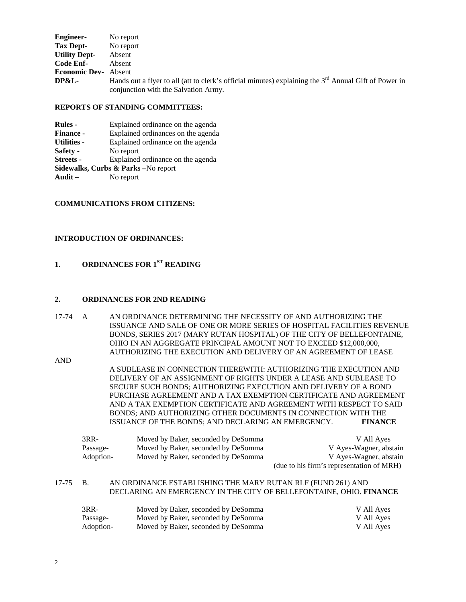| <b>Engineer-</b>            | No report                                                                                                                                                 |
|-----------------------------|-----------------------------------------------------------------------------------------------------------------------------------------------------------|
| Tax Dept-                   | No report                                                                                                                                                 |
| <b>Utility Dept-</b>        | Absent                                                                                                                                                    |
| Code Enf-                   | Absent                                                                                                                                                    |
| <b>Economic Dev-</b> Absent |                                                                                                                                                           |
| DP&L-                       | Hands out a flyer to all (att to clerk's official minutes) explaining the 3 <sup>rd</sup> Annual Gift of Power in<br>conjunction with the Salvation Army. |

### **REPORTS OF STANDING COMMITTEES:**

| <b>Rules</b> -                      | Explained ordinance on the agenda  |  |  |
|-------------------------------------|------------------------------------|--|--|
| <b>Finance -</b>                    | Explained ordinances on the agenda |  |  |
| <b>Utilities -</b>                  | Explained ordinance on the agenda  |  |  |
| Safety -                            | No report                          |  |  |
| <b>Streets -</b>                    | Explained ordinance on the agenda  |  |  |
| Sidewalks, Curbs & Parks -No report |                                    |  |  |
| Audit $-$                           | No report                          |  |  |

### **COMMUNICATIONS FROM CITIZENS:**

### **INTRODUCTION OF ORDINANCES:**

## **1. ORDINANCES FOR 1ST READING**

### **2. ORDINANCES FOR 2ND READING**

17-74 A AN ORDINANCE DETERMINING THE NECESSITY OF AND AUTHORIZING THE ISSUANCE AND SALE OF ONE OR MORE SERIES OF HOSPITAL FACILITIES REVENUE BONDS, SERIES 2017 (MARY RUTAN HOSPITAL) OF THE CITY OF BELLEFONTAINE, OHIO IN AN AGGREGATE PRINCIPAL AMOUNT NOT TO EXCEED \$12,000,000, AUTHORIZING THE EXECUTION AND DELIVERY OF AN AGREEMENT OF LEASE

AND

A SUBLEASE IN CONNECTION THEREWITH: AUTHORIZING THE EXECUTION AND DELIVERY OF AN ASSIGNMENT OF RIGHTS UNDER A LEASE AND SUBLEASE TO SECURE SUCH BONDS; AUTHORIZING EXECUTION AND DELIVERY OF A BOND PURCHASE AGREEMENT AND A TAX EXEMPTION CERTIFICATE AND AGREEMENT AND A TAX EXEMPTION CERTIFICATE AND AGREEMENT WITH RESPECT TO SAID BONDS; AND AUTHORIZING OTHER DOCUMENTS IN CONNECTION WITH THE ISSUANCE OF THE BONDS; AND DECLARING AN EMERGENCY. **FINANCE**

| $3RR-$    | Moved by Baker, seconded by DeSomma | V All Ayes                                |
|-----------|-------------------------------------|-------------------------------------------|
| Passage-  | Moved by Baker, seconded by DeSomma | V Ayes-Wagner, abstain                    |
| Adoption- | Moved by Baker, seconded by DeSomma | V Ayes-Wagner, abstain                    |
|           |                                     | (due to his firm's representation of MRH) |

### 17-75 B. AN ORDINANCE ESTABLISHING THE MARY RUTAN RLF (FUND 261) AND DECLARING AN EMERGENCY IN THE CITY OF BELLEFONTAINE, OHIO. **FINANCE**

| 3RR-      | Moved by Baker, seconded by DeSomma | V All Ayes |
|-----------|-------------------------------------|------------|
| Passage-  | Moved by Baker, seconded by DeSomma | V All Ayes |
| Adoption- | Moved by Baker, seconded by DeSomma | V All Ayes |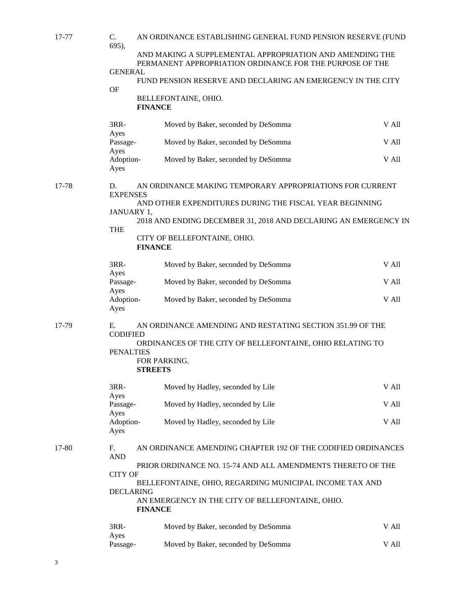| 17-77 | C.<br>695),                                                                   | AN ORDINANCE ESTABLISHING GENERAL FUND PENSION RESERVE (FUND                                                         |       |  |  |
|-------|-------------------------------------------------------------------------------|----------------------------------------------------------------------------------------------------------------------|-------|--|--|
|       |                                                                               | AND MAKING A SUPPLEMENTAL APPROPRIATION AND AMENDING THE<br>PERMANENT APPROPRIATION ORDINANCE FOR THE PURPOSE OF THE |       |  |  |
|       | <b>GENERAL</b>                                                                | FUND PENSION RESERVE AND DECLARING AN EMERGENCY IN THE CITY                                                          |       |  |  |
|       | <b>OF</b>                                                                     | BELLEFONTAINE, OHIO.<br><b>FINANCE</b>                                                                               |       |  |  |
|       | $3RR-$                                                                        | Moved by Baker, seconded by DeSomma                                                                                  | V All |  |  |
|       | Ayes<br>Passage-<br>Ayes                                                      | Moved by Baker, seconded by DeSomma                                                                                  | V All |  |  |
|       | Adoption-<br>Ayes                                                             | Moved by Baker, seconded by DeSomma                                                                                  | V All |  |  |
| 17-78 | D.<br><b>EXPENSES</b>                                                         | AN ORDINANCE MAKING TEMPORARY APPROPRIATIONS FOR CURRENT                                                             |       |  |  |
|       | JANUARY 1,                                                                    | AND OTHER EXPENDITURES DURING THE FISCAL YEAR BEGINNING                                                              |       |  |  |
|       | <b>THE</b>                                                                    | 2018 AND ENDING DECEMBER 31, 2018 AND DECLARING AN EMERGENCY IN                                                      |       |  |  |
|       |                                                                               | CITY OF BELLEFONTAINE, OHIO.<br><b>FINANCE</b>                                                                       |       |  |  |
|       | $3RR-$<br>Ayes                                                                | Moved by Baker, seconded by DeSomma                                                                                  | V All |  |  |
|       | Passage-                                                                      | Moved by Baker, seconded by DeSomma                                                                                  | V All |  |  |
|       | Ayes<br>Adoption-<br>Ayes                                                     | Moved by Baker, seconded by DeSomma                                                                                  | V All |  |  |
| 17-79 | Ε.<br><b>CODIFIED</b>                                                         | AN ORDINANCE AMENDING AND RESTATING SECTION 351.99 OF THE                                                            |       |  |  |
|       | <b>PENALTIES</b>                                                              | ORDINANCES OF THE CITY OF BELLEFONTAINE, OHIO RELATING TO<br>FOR PARKING.                                            |       |  |  |
|       |                                                                               | <b>STREETS</b>                                                                                                       |       |  |  |
|       | 3RR-<br>Ayes                                                                  | Moved by Hadley, seconded by Lile                                                                                    | V All |  |  |
|       | Passage-<br>Ayes                                                              | Moved by Hadley, seconded by Lile                                                                                    | V All |  |  |
|       | Adoption-<br>Ayes                                                             | Moved by Hadley, seconded by Lile                                                                                    | V All |  |  |
| 17-80 | F.<br><b>AND</b>                                                              | AN ORDINANCE AMENDING CHAPTER 192 OF THE CODIFIED ORDINANCES                                                         |       |  |  |
|       | PRIOR ORDINANCE NO. 15-74 AND ALL AMENDMENTS THERETO OF THE<br><b>CITY OF</b> |                                                                                                                      |       |  |  |
|       | <b>DECLARING</b>                                                              | BELLEFONTAINE, OHIO, REGARDING MUNICIPAL INCOME TAX AND                                                              |       |  |  |
|       |                                                                               | AN EMERGENCY IN THE CITY OF BELLEFONTAINE, OHIO.<br><b>FINANCE</b>                                                   |       |  |  |
|       | 3RR-<br>Ayes                                                                  | Moved by Baker, seconded by DeSomma                                                                                  | V All |  |  |
|       | Passage-                                                                      | Moved by Baker, seconded by DeSomma                                                                                  | V All |  |  |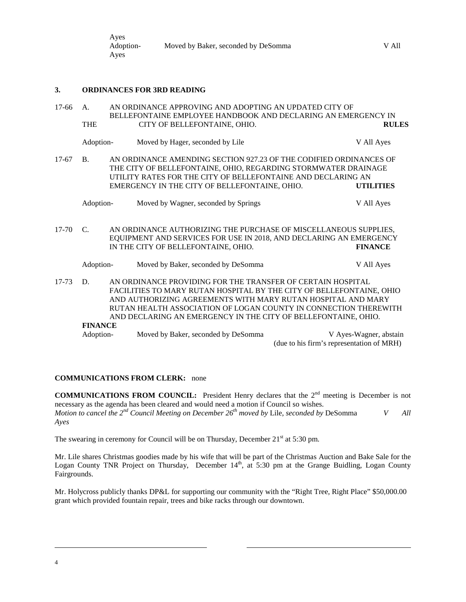| Ayes      |                                     |       |
|-----------|-------------------------------------|-------|
| Adoption- | Moved by Baker, seconded by DeSomma | V All |
| Ayes      |                                     |       |

### **3. ORDINANCES FOR 3RD READING**

| $17-66$   | A.             | AN ORDINANCE APPROVING AND ADOPTING AN UPDATED CITY OF                                                                                                                                               |                                                                                                                                                                                                                                                                                                                                           |                                                                     |
|-----------|----------------|------------------------------------------------------------------------------------------------------------------------------------------------------------------------------------------------------|-------------------------------------------------------------------------------------------------------------------------------------------------------------------------------------------------------------------------------------------------------------------------------------------------------------------------------------------|---------------------------------------------------------------------|
|           |                |                                                                                                                                                                                                      | BELLEFONTAINE EMPLOYEE HANDBOOK AND DECLARING AN EMERGENCY IN                                                                                                                                                                                                                                                                             |                                                                     |
|           | <b>THE</b>     |                                                                                                                                                                                                      | CITY OF BELLEFONTAINE, OHIO.                                                                                                                                                                                                                                                                                                              | <b>RULES</b>                                                        |
|           | Adoption-      |                                                                                                                                                                                                      | Moved by Hager, seconded by Lile                                                                                                                                                                                                                                                                                                          | V All Ayes                                                          |
| $17-67$   | B.             | AN ORDINANCE AMENDING SECTION 927.23 OF THE CODIFIED ORDINANCES OF<br>THE CITY OF BELLEFONTAINE, OHIO, REGARDING STORMWATER DRAINAGE<br>UTILITY RATES FOR THE CITY OF BELLEFONTAINE AND DECLARING AN |                                                                                                                                                                                                                                                                                                                                           |                                                                     |
|           |                |                                                                                                                                                                                                      | EMERGENCY IN THE CITY OF BELLEFONTAINE, OHIO.                                                                                                                                                                                                                                                                                             | <b>UTILITIES</b>                                                    |
|           | Adoption-      |                                                                                                                                                                                                      | Moved by Wagner, seconded by Springs                                                                                                                                                                                                                                                                                                      | V All Ayes                                                          |
| $17 - 70$ | $C_{\cdot}$    |                                                                                                                                                                                                      | AN ORDINANCE AUTHORIZING THE PURCHASE OF MISCELLANEOUS SUPPLIES,<br>EQUIPMENT AND SERVICES FOR USE IN 2018, AND DECLARING AN EMERGENCY<br>IN THE CITY OF BELLEFONTAINE, OHIO.                                                                                                                                                             | <b>FINANCE</b>                                                      |
|           | Adoption-      |                                                                                                                                                                                                      | Moved by Baker, seconded by DeSomma                                                                                                                                                                                                                                                                                                       | V All Ayes                                                          |
| $17 - 73$ | D.             |                                                                                                                                                                                                      | AN ORDINANCE PROVIDING FOR THE TRANSFER OF CERTAIN HOSPITAL<br>FACILITIES TO MARY RUTAN HOSPITAL BY THE CITY OF BELLEFONTAINE, OHIO<br>AND AUTHORIZING AGREEMENTS WITH MARY RUTAN HOSPITAL AND MARY<br>RUTAN HEALTH ASSOCIATION OF LOGAN COUNTY IN CONNECTION THEREWITH<br>AND DECLARING AN EMERGENCY IN THE CITY OF BELLEFONTAINE, OHIO. |                                                                     |
|           | <b>FINANCE</b> |                                                                                                                                                                                                      |                                                                                                                                                                                                                                                                                                                                           |                                                                     |
|           | Adoption-      |                                                                                                                                                                                                      | Moved by Baker, seconded by DeSomma                                                                                                                                                                                                                                                                                                       | V Ayes-Wagner, abstain<br>(due to his firm's representation of MRH) |

### **COMMUNICATIONS FROM CLERK:** none

**COMMUNICATIONS FROM COUNCIL:** President Henry declares that the 2<sup>nd</sup> meeting is December is not necessary as the agenda has been cleared and would need a motion if Council so wishes. *Motion to cancel the 2nd Council Meeting on December 26th moved by* Lile, *seconded by* DeSomma *V All Ayes*

The swearing in ceremony for Council will be on Thursday, December  $21<sup>st</sup>$  at 5:30 pm.

Mr. Lile shares Christmas goodies made by his wife that will be part of the Christmas Auction and Bake Sale for the Logan County TNR Project on Thursday, December 14<sup>th</sup>, at 5:30 pm at the Grange Buidling, Logan County Fairgrounds.

Mr. Holycross publicly thanks DP&L for supporting our community with the "Right Tree, Right Place" \$50,000.00 grant which provided fountain repair, trees and bike racks through our downtown.

l